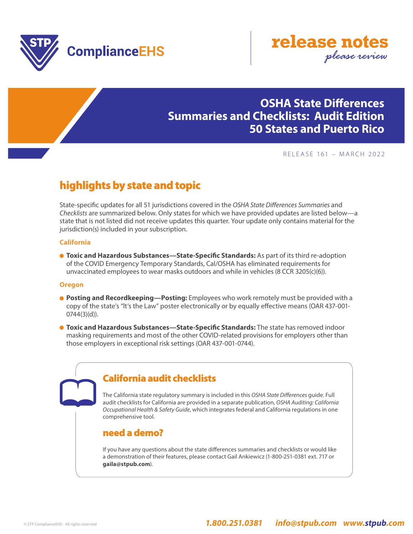



## **OSHA State Differences Summaries and Checklists: Audit Edition 50 States and Puerto Rico**

#### RELEASE 161 – MARCH 2022

# highlights by state and topic

State-specific updates for all 51 jurisdictions covered in the *OSHA State Differences Summaries* and *Checklists* are summarized below. Only states for which we have provided updates are listed below—a state that is not listed did not receive updates this quarter. Your update only contains material for the jurisdiction(s) included in your subscription.

#### **California**

 **Toxic and Hazardous Substances—State-Specific Standards:** As part of its third re-adoption of the COVID Emergency Temporary Standards, Cal/OSHA has eliminated requirements for unvaccinated employees to wear masks outdoors and while in vehicles (8 CCR 3205(c)(6)).

#### **Oregon**

- **Posting and Recordkeeping—Posting:** Employees who work remotely must be provided with a copy of the state's "lt's the Law" poster electronically or by equally effective means (OAR 437-001- 0744(3)(d)).
- **Toxic and Hazardous Substances—State-Specific Standards:** The state has removed indoor masking requirements and most of the other COVID-related provisions for employers other than those employers in exceptional risk settings (OAR 437-001-0744).

### California audit checklists

The California state regulatory summary is included in this *OSHA State Differences* guide. Full audit checklists for California are provided in a separate publication, *OSHA Auditing: California Occupational Health & Safety Guide*, which integrates federal and California regulations in one comprehensive tool.

### need a demo?

If you have any questions about the state differences summaries and checklists or would like a demonstration of their features, please contact Gail Ankiewicz (1-800-251-0381 ext. 717 or **gaila@stpub.com**).